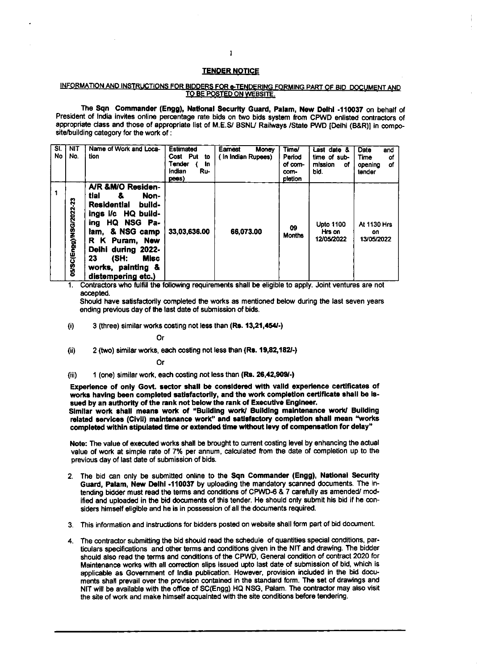## **TENDER NOTICE**

## INFORMATION AND INSTRUCTIONS FOR BIDDERS FOR e-TENDERING FORMING PART OF BID DOCUMENT AND TO BE POSTED ON WEBSITE.

The Sqn Commander (Engg), National Security Guard, Palam, New Delhi -110037 on behalf of President of India invites online percentage rate bids on two bids system from CPWD enlisted contractors of appropriate class and those of appropriate list of M.E.S/ BSNL/ Railways /State PWD [Delhi (B&R)] in composite/building category for the work of :

| $\overline{\mathbf{S}}$<br>No | <b>NIT</b><br>No.       | Name of Work and Loca-<br>tion                                                                                                                                                                                                                           | <b>Estimated</b><br>Cost Put<br>to<br>Tender<br><b>In</b><br>Indian<br>Ru-<br>pees) | Earnest<br>Money<br>In Indian Rupees) | Time/<br>Period<br>of com-<br>com-<br>pletion | Last date &<br>time of sub-<br>mission<br>of<br>bid. | Date<br>and<br>Time<br>οf<br>οf<br>opening<br>tender |
|-------------------------------|-------------------------|----------------------------------------------------------------------------------------------------------------------------------------------------------------------------------------------------------------------------------------------------------|-------------------------------------------------------------------------------------|---------------------------------------|-----------------------------------------------|------------------------------------------------------|------------------------------------------------------|
| 1                             | 05/SC(Engg)/NSG/2022-23 | A/R &M/O Residen-<br>tial<br>å.<br>Non-<br><b>Residential</b><br>build-<br>ings i/c HQ build-<br>HQ NSG Pa-<br>ing<br>& NSG camp<br>lam.<br>R K Puram, New<br>Delhi during 2022-<br>23<br>(SH)<br><b>Misc</b><br>works, painting &<br>distempering etc.) | 33,03,636.00                                                                        | 66.073.00                             | 09<br><b>Months</b>                           | <b>Upto 1100</b><br>Hrs on<br>12/05/2022             | At 1130 Hrs<br>on<br>13/05/2022                      |

1. Contractors who fulfill the following requirements shall be eligible to apply. Joint ventures are not accepted.

Should have satisfactorily completed the works as mentioned below during the last seven years ending previous day of the last date of submission of bids.

3 (three) similar works costing not less than (Rs. 13,21,454/-)  $(i)$ 

Or

2 (two) similar works, each costing not less than (Rs. 19,82,182/-)  $(ii)$ 

Or

1 (one) similar work, each costing not less than (Rs. 26,42,909/-)  $(iii)$ 

Experience of only Govt. sector shall be considered with valid experience certificates of works having been completed satisfactorily, and the work completion certificate shall be issued by an authority of the rank not below the rank of Executive Engineer. Similar work shall means work of "Building work/ Building maintenance work/ Building related services (Civil) maintenance work" and satisfactory completion shall mean "works completed within stipulated time or extended time without levy of compensation for delay"

Note: The value of executed works shall be brought to current costing level by enhancing the actual value of work at simple rate of 7% per annum, calculated from the date of completion up to the previous day of last date of submission of bids.

- 2. The bid can only be submitted online to the Sqn Commander (Engg), National Security Guard, Palam, New Delhi -110037 by uploading the mandatory scanned documents. The intending bidder must read the terms and conditions of CPWD-6 & 7 carefully as amended/ modified and uploaded in the bid documents of this tender. He should only submit his bid if he considers himself eligible and he is in possession of all the documents required.
- 3. This information and instructions for bidders posted on website shall form part of bid document.
- The contractor submitting the bid should read the schedule of quantities special conditions, par- $\blacktriangleleft$ ticulars specifications and other terms and conditions given in the NIT and drawing. The bidder should also read the terms and conditions of the CPWD, General condition of contract 2020 for Maintenance works with all correction slips issued upto last date of submission of bid, which is applicable as Government of India publication. However, provision included in the bid documents shall prevail over the provision contained in the standard form. The set of drawings and NIT will be available with the office of SC(Engg) HQ NSG, Palam. The contractor may also visit the site of work and make himself acquainted with the site conditions before tendering.